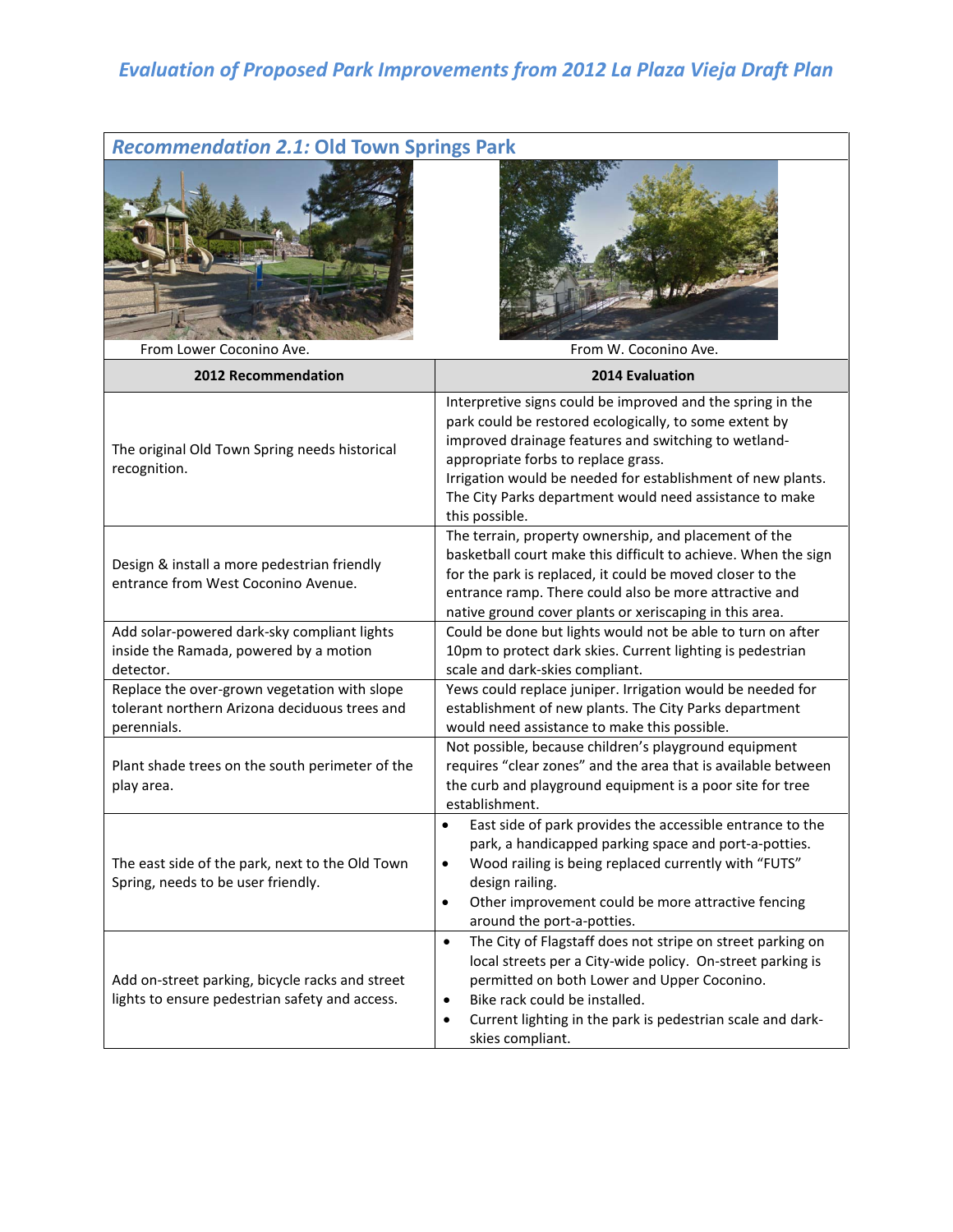## *Evaluation of Proposed Park Improvements from 2012 La Plaza Vieja Draft Plan*

# *Recommendation 2.1:* **Old Town Springs Park**



From Lower Coconino Ave. **From W. Coconing Ave.** From W. Coconino Ave.

| 2012 Recommendation                                                                                          | <b>2014 Evaluation</b>                                                                                                                                                                                                                                                                                                                                          |
|--------------------------------------------------------------------------------------------------------------|-----------------------------------------------------------------------------------------------------------------------------------------------------------------------------------------------------------------------------------------------------------------------------------------------------------------------------------------------------------------|
| The original Old Town Spring needs historical<br>recognition.                                                | Interpretive signs could be improved and the spring in the<br>park could be restored ecologically, to some extent by<br>improved drainage features and switching to wetland-<br>appropriate forbs to replace grass.<br>Irrigation would be needed for establishment of new plants.<br>The City Parks department would need assistance to make<br>this possible. |
| Design & install a more pedestrian friendly<br>entrance from West Coconino Avenue.                           | The terrain, property ownership, and placement of the<br>basketball court make this difficult to achieve. When the sign<br>for the park is replaced, it could be moved closer to the<br>entrance ramp. There could also be more attractive and<br>native ground cover plants or xeriscaping in this area.                                                       |
| Add solar-powered dark-sky compliant lights<br>inside the Ramada, powered by a motion<br>detector.           | Could be done but lights would not be able to turn on after<br>10pm to protect dark skies. Current lighting is pedestrian<br>scale and dark-skies compliant.                                                                                                                                                                                                    |
| Replace the over-grown vegetation with slope<br>tolerant northern Arizona deciduous trees and<br>perennials. | Yews could replace juniper. Irrigation would be needed for<br>establishment of new plants. The City Parks department<br>would need assistance to make this possible.                                                                                                                                                                                            |
| Plant shade trees on the south perimeter of the<br>play area.                                                | Not possible, because children's playground equipment<br>requires "clear zones" and the area that is available between<br>the curb and playground equipment is a poor site for tree<br>establishment.                                                                                                                                                           |
| The east side of the park, next to the Old Town<br>Spring, needs to be user friendly.                        | East side of park provides the accessible entrance to the<br>$\bullet$<br>park, a handicapped parking space and port-a-potties.<br>Wood railing is being replaced currently with "FUTS"<br>$\bullet$<br>design railing.<br>Other improvement could be more attractive fencing<br>$\bullet$<br>around the port-a-potties.                                        |
| Add on-street parking, bicycle racks and street<br>lights to ensure pedestrian safety and access.            | The City of Flagstaff does not stripe on street parking on<br>$\bullet$<br>local streets per a City-wide policy. On-street parking is<br>permitted on both Lower and Upper Coconino.<br>Bike rack could be installed.<br>$\bullet$<br>Current lighting in the park is pedestrian scale and dark-<br>$\bullet$<br>skies compliant.                               |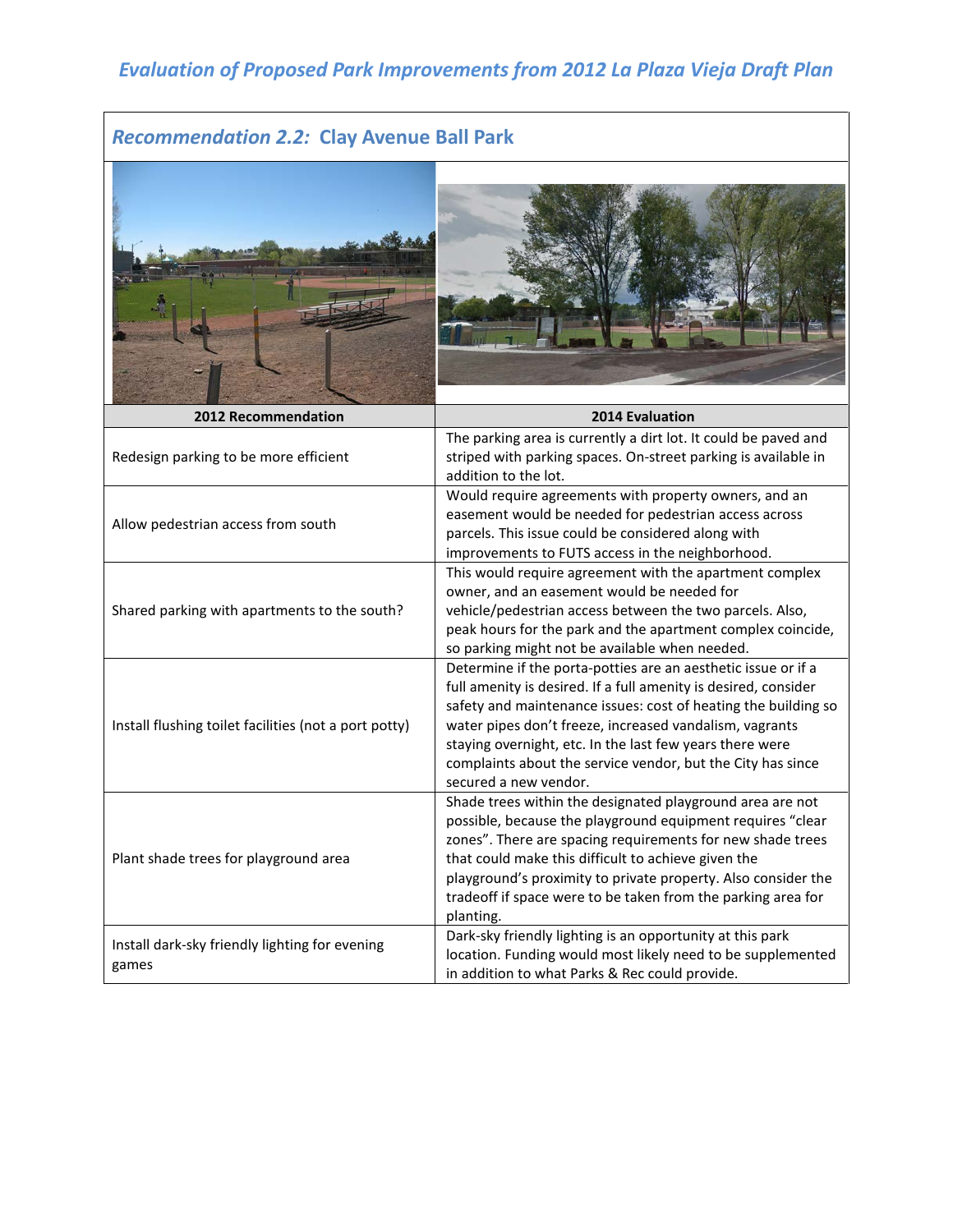## *Evaluation of Proposed Park Improvements from 2012 La Plaza Vieja Draft Plan*

### *Recommendation 2.2:* **Clay Avenue Ball Park**

| <b>2012 Recommendation</b>                              | <b>2014 Evaluation</b>                                                                                                                                                                                                                                                                                                                                                                                            |
|---------------------------------------------------------|-------------------------------------------------------------------------------------------------------------------------------------------------------------------------------------------------------------------------------------------------------------------------------------------------------------------------------------------------------------------------------------------------------------------|
| Redesign parking to be more efficient                   | The parking area is currently a dirt lot. It could be paved and<br>striped with parking spaces. On-street parking is available in<br>addition to the lot.                                                                                                                                                                                                                                                         |
| Allow pedestrian access from south                      | Would require agreements with property owners, and an<br>easement would be needed for pedestrian access across<br>parcels. This issue could be considered along with<br>improvements to FUTS access in the neighborhood.                                                                                                                                                                                          |
| Shared parking with apartments to the south?            | This would require agreement with the apartment complex<br>owner, and an easement would be needed for<br>vehicle/pedestrian access between the two parcels. Also,<br>peak hours for the park and the apartment complex coincide,<br>so parking might not be available when needed.                                                                                                                                |
| Install flushing toilet facilities (not a port potty)   | Determine if the porta-potties are an aesthetic issue or if a<br>full amenity is desired. If a full amenity is desired, consider<br>safety and maintenance issues: cost of heating the building so<br>water pipes don't freeze, increased vandalism, vagrants<br>staying overnight, etc. In the last few years there were<br>complaints about the service vendor, but the City has since<br>secured a new vendor. |
| Plant shade trees for playground area                   | Shade trees within the designated playground area are not<br>possible, because the playground equipment requires "clear<br>zones". There are spacing requirements for new shade trees<br>that could make this difficult to achieve given the<br>playground's proximity to private property. Also consider the<br>tradeoff if space were to be taken from the parking area for<br>planting.                        |
| Install dark-sky friendly lighting for evening<br>games | Dark-sky friendly lighting is an opportunity at this park<br>location. Funding would most likely need to be supplemented<br>in addition to what Parks & Rec could provide.                                                                                                                                                                                                                                        |